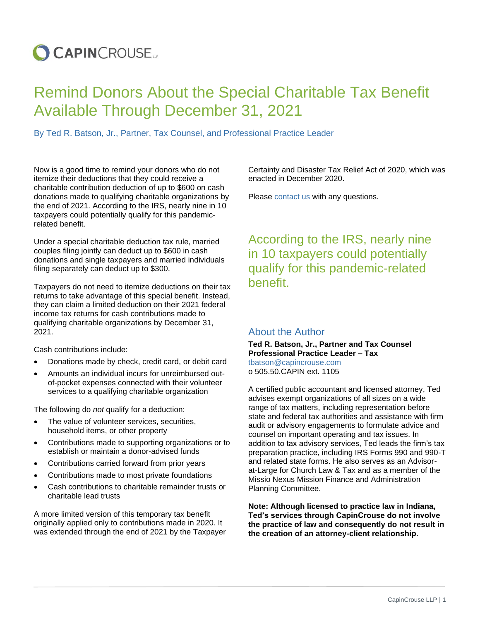## **O CAPIN**CROUSE.

## Remind Donors About the Special Charitable Tax Benefit Available Through December 31, 2021

By Ted R. Batson, Jr., Partner, Tax Counsel, and Professional Practice Leader

Now is a good time to remind your donors who do not itemize their deductions that they could receive a charitable contribution deduction of up to \$600 on cash donations made to qualifying charitable organizations by the end of 2021. According to the IRS, nearly nine in 10 taxpayers could potentially qualify for this pandemicrelated benefit.

Under a special charitable deduction tax rule, married couples filing jointly can deduct up to \$600 in cash donations and single taxpayers and married individuals filing separately can deduct up to \$300.

Taxpayers do not need to itemize deductions on their tax returns to take advantage of this special benefit. Instead, they can claim a limited deduction on their 2021 federal income tax returns for cash contributions made to qualifying charitable organizations by December 31, 2021.

Cash contributions include:

- Donations made by check, credit card, or debit card
- Amounts an individual incurs for unreimbursed outof-pocket expenses connected with their volunteer services to a qualifying charitable organization

The following do *not* qualify for a deduction:

- The value of volunteer services, securities, household items, or other property
- Contributions made to supporting organizations or to establish or maintain a donor-advised funds
- Contributions carried forward from prior years
- Contributions made to most private foundations
- Cash contributions to charitable remainder trusts or charitable lead trusts

A more limited version of this temporary tax benefit originally applied only to contributions made in 2020. It was extended through the end of 2021 by the Taxpayer Certainty and Disaster Tax Relief Act of 2020, which was enacted in December 2020.

Please [contact us](https://capincrouse.com/who-we-are/contact-us/) with any questions.

According to the IRS, nearly nine in 10 taxpayers could potentially qualify for this pandemic-related benefit.

## About the Author

**Ted R. Batson, Jr., Partner and Tax Counsel Professional Practice Leader – Tax**  [tbatson@capincrouse.com](mailto:tbatson@capincrouse.com) o 505.50.CAPIN ext. 1105

A certified public accountant and licensed attorney, Ted advises exempt organizations of all sizes on a wide range of tax matters, including representation before state and federal tax authorities and assistance with firm audit or advisory engagements to formulate advice and counsel on important operating and tax issues. In addition to tax advisory services, Ted leads the firm's tax preparation practice, including IRS Forms 990 and 990-T and related state forms. He also serves as an Advisorat-Large for Church Law & Tax and as a member of the Missio Nexus Mission Finance and Administration Planning Committee.

**Note: Although licensed to practice law in Indiana, Ted's services through CapinCrouse do not involve the practice of law and consequently do not result in the creation of an attorney-client relationship.**